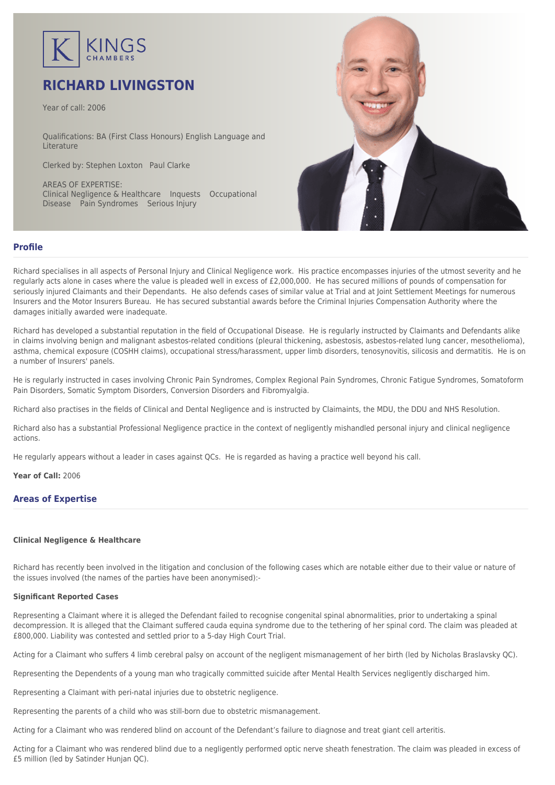

# **RICHARD LIVINGSTON**

Year of call: 2006

Qualifications: BA (First Class Honours) English Language and **Literature** 

Clerked by: [Stephen Loxton](mailto:sloxton@kingschambers.com) [Paul Clarke](mailto:pclarke@kingschambers.com)

AREAS OF EXPERTISE: Clinical Negligence & Healthcare Inquests Occupational Disease Pain Syndromes Serious Injury



## **Profile**

Richard specialises in all aspects of Personal Injury and Clinical Negligence work. His practice encompasses injuries of the utmost severity and he regularly acts alone in cases where the value is pleaded well in excess of £2,000,000. He has secured millions of pounds of compensation for seriously injured Claimants and their Dependants. He also defends cases of similar value at Trial and at Joint Settlement Meetings for numerous Insurers and the Motor Insurers Bureau. He has secured substantial awards before the Criminal Injuries Compensation Authority where the damages initially awarded were inadequate.

Richard has developed a substantial reputation in the field of Occupational Disease. He is regularly instructed by Claimants and Defendants alike in claims involving benign and malignant asbestos-related conditions (pleural thickening, asbestosis, asbestos-related lung cancer, mesothelioma), asthma, chemical exposure (COSHH claims), occupational stress/harassment, upper limb disorders, tenosynovitis, silicosis and dermatitis. He is on a number of Insurers' panels.

He is regularly instructed in cases involving Chronic Pain Syndromes, Complex Regional Pain Syndromes, Chronic Fatigue Syndromes, Somatoform Pain Disorders, Somatic Symptom Disorders, Conversion Disorders and Fibromyalgia.

Richard also practises in the fields of Clinical and Dental Negligence and is instructed by Claimaints, the MDU, the DDU and NHS Resolution.

Richard also has a substantial Professional Negligence practice in the context of negligently mishandled personal injury and clinical negligence actions.

He regularly appears without a leader in cases against QCs. He is regarded as having a practice well beyond his call.

**Year of Call:** 2006

## **Areas of Expertise**

### **[Clinical Negligence & Healthcare](#page--1-0)**

Richard has recently been involved in the litigation and conclusion of the following cases which are notable either due to their value or nature of the issues involved (the names of the parties have been anonymised):-

### **Significant Reported Cases**

Representing a Claimant where it is alleged the Defendant failed to recognise congenital spinal abnormalities, prior to undertaking a spinal decompression. It is alleged that the Claimant suffered cauda equina syndrome due to the tethering of her spinal cord. The claim was pleaded at £800,000. Liability was contested and settled prior to a 5-day High Court Trial.

Acting for a Claimant who suffers 4 limb cerebral palsy on account of the negligent mismanagement of her birth (led by Nicholas Braslavsky QC).

Representing the Dependents of a young man who tragically committed suicide after Mental Health Services negligently discharged him.

Representing a Claimant with peri-natal injuries due to obstetric negligence.

Representing the parents of a child who was still-born due to obstetric mismanagement.

Acting for a Claimant who was rendered blind on account of the Defendant's failure to diagnose and treat giant cell arteritis.

Acting for a Claimant who was rendered blind due to a negligently performed optic nerve sheath fenestration. The claim was pleaded in excess of £5 million (led by Satinder Hunjan QC).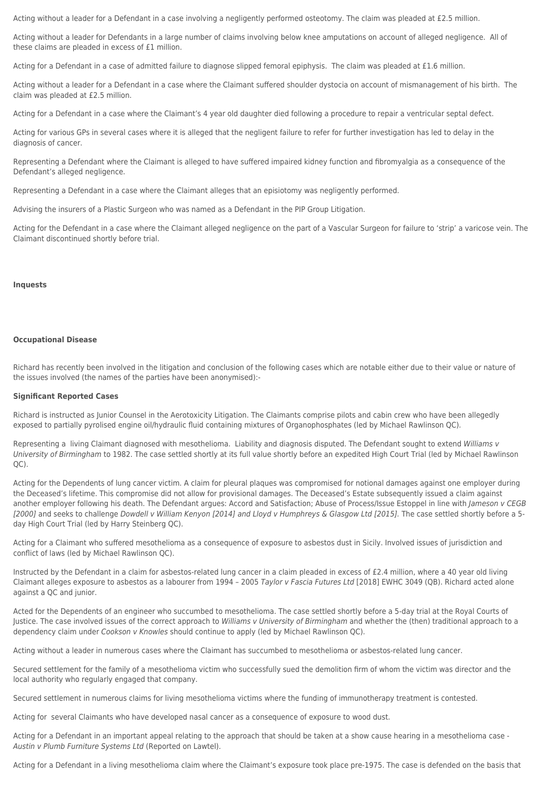Acting without a leader for a Defendant in a case involving a negligently performed osteotomy. The claim was pleaded at £2.5 million.

Acting without a leader for Defendants in a large number of claims involving below knee amputations on account of alleged negligence. All of these claims are pleaded in excess of £1 million.

Acting for a Defendant in a case of admitted failure to diagnose slipped femoral epiphysis. The claim was pleaded at £1.6 million.

Acting without a leader for a Defendant in a case where the Claimant suffered shoulder dystocia on account of mismanagement of his birth. The claim was pleaded at £2.5 million.

Acting for a Defendant in a case where the Claimant's 4 year old daughter died following a procedure to repair a ventricular septal defect.

Acting for various GPs in several cases where it is alleged that the negligent failure to refer for further investigation has led to delay in the diagnosis of cancer.

Representing a Defendant where the Claimant is alleged to have suffered impaired kidney function and fibromyalgia as a consequence of the Defendant's alleged negligence.

Representing a Defendant in a case where the Claimant alleges that an episiotomy was negligently performed.

Advising the insurers of a Plastic Surgeon who was named as a Defendant in the PIP Group Litigation.

Acting for the Defendant in a case where the Claimant alleged negligence on the part of a Vascular Surgeon for failure to 'strip' a varicose vein. The Claimant discontinued shortly before trial.

#### **[Inquests](#page--1-0)**

#### **[Occupational Disease](#page--1-0)**

Richard has recently been involved in the litigation and conclusion of the following cases which are notable either due to their value or nature of the issues involved (the names of the parties have been anonymised):-

#### **Significant Reported Cases**

Richard is instructed as Junior Counsel in the Aerotoxicity Litigation. The Claimants comprise pilots and cabin crew who have been allegedly exposed to partially pyrolised engine oil/hydraulic fluid containing mixtures of Organophosphates (led by Michael Rawlinson QC).

Representing a living Claimant diagnosed with mesothelioma. Liability and diagnosis disputed. The Defendant sought to extend Williams v University of Birmingham to 1982. The case settled shortly at its full value shortly before an expedited High Court Trial (led by Michael Rawlinson QC).

Acting for the Dependents of lung cancer victim. A claim for pleural plaques was compromised for notional damages against one employer during the Deceased's lifetime. This compromise did not allow for provisional damages. The Deceased's Estate subsequently issued a claim against another employer following his death. The Defendant argues: Accord and Satisfaction; Abuse of Process/Issue Estoppel in line with Jameson v CEGB [2000] and seeks to challenge Dowdell v William Kenyon [2014] and Lloyd v Humphreys & Glasgow Ltd [2015]. The case settled shortly before a 5day High Court Trial (led by Harry Steinberg QC).

Acting for a Claimant who suffered mesothelioma as a consequence of exposure to asbestos dust in Sicily. Involved issues of jurisdiction and conflict of laws (led by Michael Rawlinson QC).

Instructed by the Defendant in a claim for asbestos-related lung cancer in a claim pleaded in excess of £2.4 million, where a 40 year old living Claimant alleges exposure to asbestos as a labourer from 1994 – 2005 Taylor v Fascia Futures Ltd [2018] EWHC 3049 (QB). Richard acted alone against a QC and junior.

Acted for the Dependents of an engineer who succumbed to mesothelioma. The case settled shortly before a 5-day trial at the Royal Courts of Justice. The case involved issues of the correct approach to Williams v University of Birmingham and whether the (then) traditional approach to a dependency claim under Cookson v Knowles should continue to apply (led by Michael Rawlinson QC).

Acting without a leader in numerous cases where the Claimant has succumbed to mesothelioma or asbestos-related lung cancer.

Secured settlement for the family of a mesothelioma victim who successfully sued the demolition firm of whom the victim was director and the local authority who regularly engaged that company.

Secured settlement in numerous claims for living mesothelioma victims where the funding of immunotherapy treatment is contested.

Acting for several Claimants who have developed nasal cancer as a consequence of exposure to wood dust.

Acting for a Defendant in an important appeal relating to the approach that should be taken at a show cause hearing in a mesothelioma case - Austin v Plumb Furniture Systems Ltd (Reported on Lawtel).

Acting for a Defendant in a living mesothelioma claim where the Claimant's exposure took place pre-1975. The case is defended on the basis that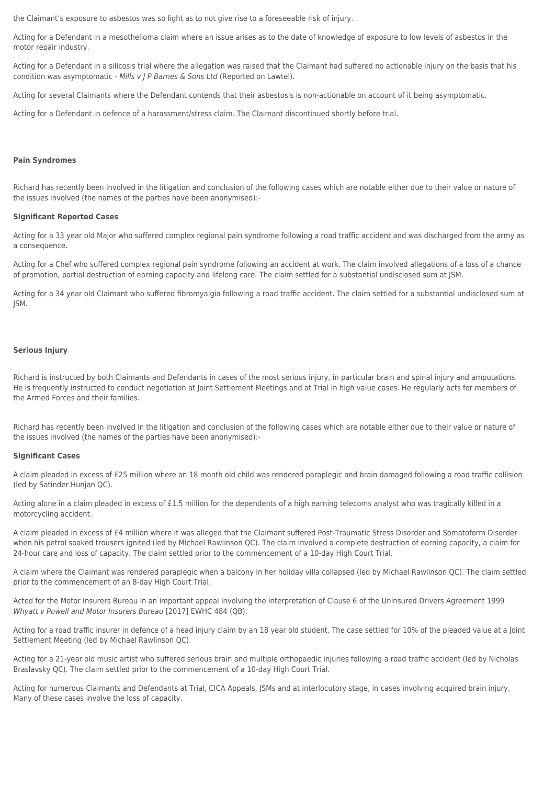the Claimant's exposure to asbestos was so light as to not give rise to a foreseeable risk of injury.

Acting for a Defendant in a mesothelioma claim where an issue arises as to the date of knowledge of exposure to low levels of asbestos in the motor repair industry.

Acting for a Defendant in a silicosis trial where the allegation was raised that the Claimant had suffered no actionable injury on the basis that his condition was asymptomatic - Mills v J P Barnes & Sons Ltd (Reported on Lawtel).

Acting for several Claimants where the Defendant contends that their asbestosis is non-actionable on account of it being asymptomatic.

Acting for a Defendant in defence of a harassment/stress claim. The Claimant discontinued shortly before trial.

#### **[Pain Syndromes](#page--1-0)**

Richard has recently been involved in the litigation and conclusion of the following cases which are notable either due to their value or nature of the issues involved (the names of the parties have been anonymised):-

#### **Significant Reported Cases**

Acting for a 33 year old Major who suffered complex regional pain syndrome following a road traffic accident and was discharged from the army as a consequence.

Acting for a Chef who suffered complex regional pain syndrome following an accident at work. The claim involved allegations of a loss of a chance of promotion, partial destruction of earning capacity and lifelong care. The claim settled for a substantial undisclosed sum at JSM.

Acting for a 34 year old Claimant who suffered fibromyalgia following a road traffic accident. The claim settled for a substantial undisclosed sum at JSM.

#### **[Serious Injury](#page--1-0)**

Richard is instructed by both Claimants and Defendants in cases of the most serious injury, in particular brain and spinal injury and amputations. He is frequently instructed to conduct negotiation at Joint Settlement Meetings and at Trial in high value cases. He regularly acts for members of the Armed Forces and their families.

Richard has recently been involved in the litigation and conclusion of the following cases which are notable either due to their value or nature of the issues involved (the names of the parties have been anonymised):-

#### **Significant Cases**

A claim pleaded in excess of £25 million where an 18 month old child was rendered paraplegic and brain damaged following a road traffic collision (led by Satinder Hunjan QC).

Acting alone in a claim pleaded in excess of £1.5 million for the dependents of a high earning telecoms analyst who was tragically killed in a motorcycling accident.

A claim pleaded in excess of £4 million where it was alleged that the Claimant suffered Post-Traumatic Stress Disorder and Somatoform Disorder when his petrol soaked trousers ignited (led by Michael Rawlinson QC). The claim involved a complete destruction of earning capacity, a claim for 24-hour care and loss of capacity. The claim settled prior to the commencement of a 10-day High Court Trial.

A claim where the Claimant was rendered paraplegic when a balcony in her holiday villa collapsed (led by Michael Rawlinson QC). The claim settled prior to the commencement of an 8-day High Court Trial.

Acted for the Motor Insurers Bureau in an important appeal involving the interpretation of Clause 6 of the Uninsured Drivers Agreement 1999 Whyatt v Powell and Motor Insurers Bureau [2017] EWHC 484 (QB).

Acting for a road traffic insurer in defence of a head injury claim by an 18 year old student. The case settled for 10% of the pleaded value at a Joint Settlement Meeting (led by Michael Rawlinson QC).

Acting for a 21-year old music artist who suffered serious brain and multiple orthopaedic injuries following a road traffic accident (led by Nicholas Braslavsky QC). The claim settled prior to the commencement of a 10-day High Court Trial.

Acting for numerous Claimants and Defendants at Trial, CICA Appeals, JSMs and at interlocutory stage, in cases involving acquired brain injury. Many of these cases involve the loss of capacity.